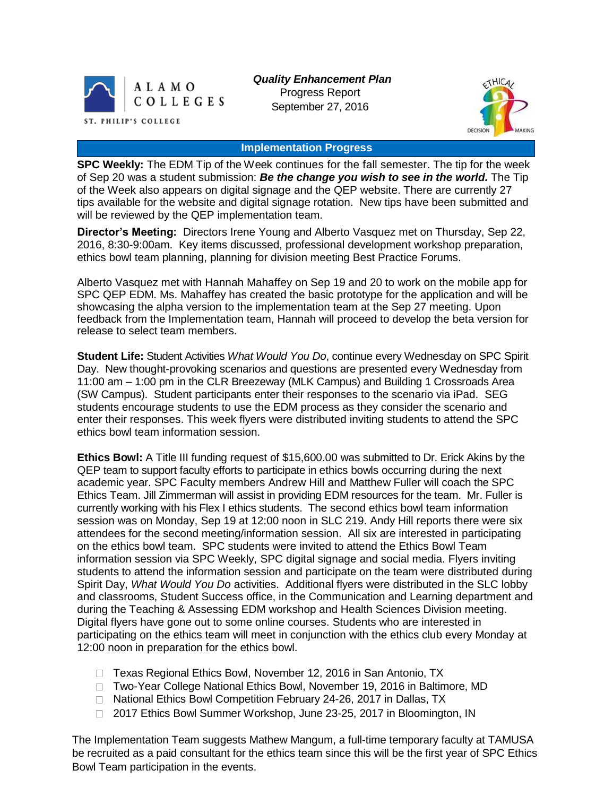

*Quality Enhancement Plan* Progress Report September 27, 2016



#### **Implementation Progress**

**SPC Weekly:** The EDM Tip of the Week continues for the fall semester. The tip for the week of Sep 20 was a student submission: *Be the change you wish to see in the world.* The Tip of the Week also appears on digital signage and the QEP website. There are currently 27 tips available for the website and digital signage rotation. New tips have been submitted and will be reviewed by the QEP implementation team.

**Director's Meeting:** Directors Irene Young and Alberto Vasquez met on Thursday, Sep 22, 2016, 8:30-9:00am. Key items discussed, professional development workshop preparation, ethics bowl team planning, planning for division meeting Best Practice Forums.

Alberto Vasquez met with Hannah Mahaffey on Sep 19 and 20 to work on the mobile app for SPC QEP EDM. Ms. Mahaffey has created the basic prototype for the application and will be showcasing the alpha version to the implementation team at the Sep 27 meeting. Upon feedback from the Implementation team, Hannah will proceed to develop the beta version for release to select team members.

**Student Life:** Student Activities *What Would You Do*, continue every Wednesday on SPC Spirit Day. New thought-provoking scenarios and questions are presented every Wednesday from 11:00 am – 1:00 pm in the CLR Breezeway (MLK Campus) and Building 1 Crossroads Area (SW Campus). Student participants enter their responses to the scenario via iPad. SEG students encourage students to use the EDM process as they consider the scenario and enter their responses. This week flyers were distributed inviting students to attend the SPC ethics bowl team information session.

**Ethics Bowl:** A Title III funding request of \$15,600.00 was submitted to Dr. Erick Akins by the QEP team to support faculty efforts to participate in ethics bowls occurring during the next academic year. SPC Faculty members Andrew Hill and Matthew Fuller will coach the SPC Ethics Team. Jill Zimmerman will assist in providing EDM resources for the team. Mr. Fuller is currently working with his Flex I ethics students. The second ethics bowl team information session was on Monday, Sep 19 at 12:00 noon in SLC 219. Andy Hill reports there were six attendees for the second meeting/information session. All six are interested in participating on the ethics bowl team. SPC students were invited to attend the Ethics Bowl Team information session via SPC Weekly, SPC digital signage and social media. Flyers inviting students to attend the information session and participate on the team were distributed during Spirit Day, *What Would You Do* activities. Additional flyers were distributed in the SLC lobby and classrooms, Student Success office, in the Communication and Learning department and during the Teaching & Assessing EDM workshop and Health Sciences Division meeting. Digital flyers have gone out to some online courses. Students who are interested in participating on the ethics team will meet in conjunction with the ethics club every Monday at 12:00 noon in preparation for the ethics bowl.

- □ Texas Regional Ethics Bowl, November 12, 2016 in San Antonio, TX
- □ Two-Year College National Ethics Bowl, November 19, 2016 in Baltimore, MD
- □ National Ethics Bowl Competition February 24-26, 2017 in Dallas, TX
- □ 2017 Ethics Bowl Summer Workshop, June 23-25, 2017 in Bloomington, IN

The Implementation Team suggests Mathew Mangum, a full-time temporary faculty at TAMUSA be recruited as a paid consultant for the ethics team since this will be the first year of SPC Ethics Bowl Team participation in the events.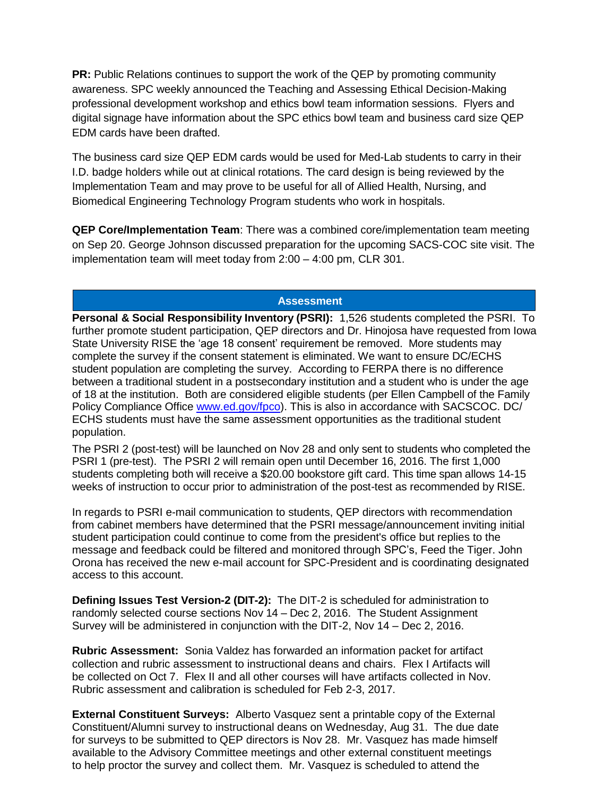**PR:** Public Relations continues to support the work of the QEP by promoting community awareness. SPC weekly announced the Teaching and Assessing Ethical Decision-Making professional development workshop and ethics bowl team information sessions. Flyers and digital signage have information about the SPC ethics bowl team and business card size QEP EDM cards have been drafted.

The business card size QEP EDM cards would be used for Med-Lab students to carry in their I.D. badge holders while out at clinical rotations. The card design is being reviewed by the Implementation Team and may prove to be useful for all of Allied Health, Nursing, and Biomedical Engineering Technology Program students who work in hospitals.

**QEP Core/Implementation Team**: There was a combined core/implementation team meeting on Sep 20. George Johnson discussed preparation for the upcoming SACS-COC site visit. The implementation team will meet today from 2:00 – 4:00 pm, CLR 301.

## **Assessment**

**Personal & Social Responsibility Inventory (PSRI):** 1,526 students completed the PSRI. To further promote student participation, QEP directors and Dr. Hinojosa have requested from Iowa State University RISE the 'age 18 consent' requirement be removed. More students may complete the survey if the consent statement is eliminated. We want to ensure DC/ECHS student population are completing the survey. According to FERPA there is no difference between a traditional student in a postsecondary institution and a student who is under the age of 18 at the institution. Both are considered eligible students (per Ellen Campbell of the Family Policy Compliance Office [www.ed.gov/fpco\)](https://mail.alamo.edu/owa/redir.aspx?C=sXxFZN20ZCUjVpdGx3glUoQe6Tg3eoX73c8Jphfu-FKDQ7eJ1uDTCA..&URL=http%3a%2f%2fwww.ed.gov%2ffpco). This is also in accordance with SACSCOC. DC/ ECHS students must have the same assessment opportunities as the traditional student population.

The PSRI 2 (post-test) will be launched on Nov 28 and only sent to students who completed the PSRI 1 (pre-test). The PSRI 2 will remain open until December 16, 2016. The first 1,000 students completing both will receive a \$20.00 bookstore gift card. This time span allows 14-15 weeks of instruction to occur prior to administration of the post-test as recommended by RISE.

In regards to PSRI e-mail communication to students, QEP directors with recommendation from cabinet members have determined that the PSRI message/announcement inviting initial student participation could continue to come from the president's office but replies to the message and feedback could be filtered and monitored through SPC's, Feed the Tiger. John Orona has received the new e-mail account for SPC-President and is coordinating designated access to this account.

**Defining Issues Test Version-2 (DIT-2):** The DIT-2 is scheduled for administration to randomly selected course sections Nov 14 – Dec 2, 2016. The Student Assignment Survey will be administered in conjunction with the DIT-2, Nov 14 – Dec 2, 2016.

**Rubric Assessment:** Sonia Valdez has forwarded an information packet for artifact collection and rubric assessment to instructional deans and chairs. Flex I Artifacts will be collected on Oct 7. Flex II and all other courses will have artifacts collected in Nov. Rubric assessment and calibration is scheduled for Feb 2-3, 2017.

**External Constituent Surveys:** Alberto Vasquez sent a printable copy of the External Constituent/Alumni survey to instructional deans on Wednesday, Aug 31. The due date for surveys to be submitted to QEP directors is Nov 28. Mr. Vasquez has made himself available to the Advisory Committee meetings and other external constituent meetings to help proctor the survey and collect them. Mr. Vasquez is scheduled to attend the